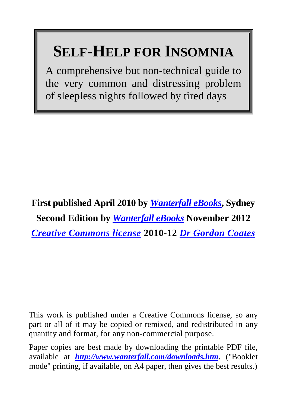# **SELF-HELP FOR INSOMNIA**

A comprehensive but non-technical guide to the very common and distressing problem of sleepless nights followed by tired days

**First published April 2010 by** *[Wanterfall eBooks](http://www.wanterfall.com/)***, Sydney Second Edition by** *[Wanterfall eBooks](http://www.wanterfall.com/)* **November 2012** *[Creative Commons license](http://creativecommons.org/licenses/by-nc-sa/2.5/au/)* **2010-12** *[Dr Gordon Coates](http://www.wanterfall.com/#aboutauthor)*

This work is published under a Creative Commons license, so any part or all of it may be copied or remixed, and redistributed in any quantity and format, for any non-commercial purpose.

Paper copies are best made by downloading the printable PDF file, available at *<http://www.wanterfall.com/downloads.htm>*. ("Booklet mode" printing, if available, on A4 paper, then gives the best results.)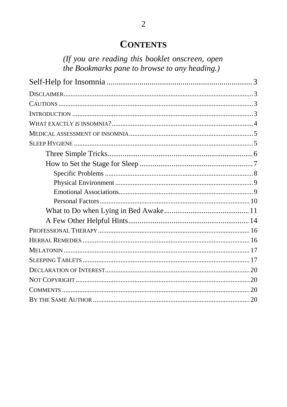### **CONTENTS**

(If you are reading this booklet onscreen, open the Bookmarks pane to browse to any heading.)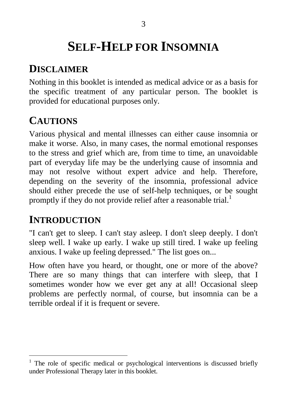# **SELF-HELP FOR INSOMNIA**

# **DISCLAIMER**

Nothing in this booklet is intended as medical advice or as a basis for the specific treatment of any particular person. The booklet is provided for educational purposes only.

# **CAUTIONS**

Various physical and mental illnesses can either cause insomnia or make it worse. Also, in many cases, the normal emotional responses to the stress and grief which are, from time to time, an unavoidable part of everyday life may be the underlying cause of insomnia and may not resolve without expert advice and help. Therefore, depending on the severity of the insomnia, professional advice should either precede the use of self-help techniques, or be sought promptly if they do not provide relief after a reasonable trial.<sup>1</sup>

# **INTRODUCTION**

"I can't get to sleep. I can't stay asleep. I don't sleep deeply. I don't sleep well. I wake up early. I wake up still tired. I wake up feeling anxious. I wake up feeling depressed." The list goes on...

How often have you heard, or thought, one or more of the above? There are so many things that can interfere with sleep, that I sometimes wonder how we ever get any at all! Occasional sleep problems are perfectly normal, of course, but insomnia can be a terrible ordeal if it is frequent or severe.

 $1$  The role of specific medical or psychological interventions is discussed briefly under Professional Therapy later in this booklet.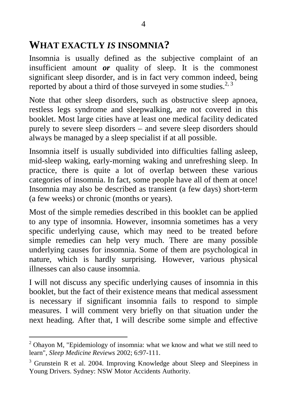## **WHAT EXACTLY** *IS* **INSOMNIA?**

Insomnia is usually defined as the subjective complaint of an insufficient amount *or* quality of sleep. It is the commonest significant sleep disorder, and is in fact very common indeed, being reported by about a third of those surveyed in some studies. $2,3$ 

Note that other sleep disorders, such as obstructive sleep apnoea, restless legs syndrome and sleepwalking, are not covered in this booklet. Most large cities have at least one medical facility dedicated purely to severe sleep disorders – and severe sleep disorders should always be managed by a sleep specialist if at all possible.

Insomnia itself is usually subdivided into difficulties falling asleep, mid-sleep waking, early-morning waking and unrefreshing sleep. In practice, there is quite a lot of overlap between these various categories of insomnia. In fact, some people have all of them at once! Insomnia may also be described as transient (a few days) short-term (a few weeks) or chronic (months or years).

Most of the simple remedies described in this booklet can be applied to any type of insomnia. However, insomnia sometimes has a very specific underlying cause, which may need to be treated before simple remedies can help very much. There are many possible underlying causes for insomnia. Some of them are psychological in nature, which is hardly surprising. However, various physical illnesses can also cause insomnia.

I will not discuss any specific underlying causes of insomnia in this booklet, but the fact of their existence means that medical assessment is necessary if significant insomnia fails to respond to simple measures. I will comment very briefly on that situation under the next heading. After that, I will describe some simple and effective

 $2$  Ohavon M. "Epidemiology of insomnia: what we know and what we still need to learn", *Sleep Medicine Reviews* 2002; 6:97-111.

<sup>&</sup>lt;sup>3</sup> Grunstein R et al. 2004. Improving Knowledge about Sleep and Sleepiness in Young Drivers. Sydney: NSW Motor Accidents Authority.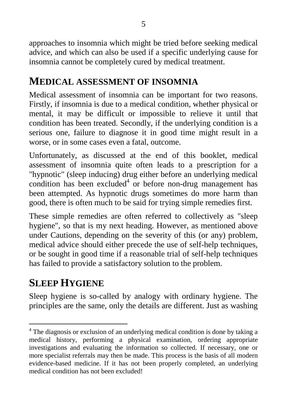approaches to insomnia which might be tried before seeking medical advice, and which can also be used if a specific underlying cause for insomnia cannot be completely cured by medical treatment.

## **MEDICAL ASSESSMENT OF INSOMNIA**

Medical assessment of insomnia can be important for two reasons. Firstly, if insomnia is due to a medical condition, whether physical or mental, it may be difficult or impossible to relieve it until that condition has been treated. Secondly, if the underlying condition is a serious one, failure to diagnose it in good time might result in a worse, or in some cases even a fatal, outcome.

Unfortunately, as discussed at the end of this booklet, medical assessment of insomnia quite often leads to a prescription for a "hypnotic" (sleep inducing) drug either before an underlying medical condition has been  $excluded<sup>4</sup>$  or before non-drug management has been attempted. As hypnotic drugs sometimes do more harm than good, there is often much to be said for trying simple remedies first.

These simple remedies are often referred to collectively as "sleep hygiene", so that is my next heading. However, as mentioned above under Cautions, depending on the severity of this (or any) problem, medical advice should either precede the use of self-help techniques, or be sought in good time if a reasonable trial of self-help techniques has failed to provide a satisfactory solution to the problem.

# **SLEEP HYGIENE**

Sleep hygiene is so-called by analogy with ordinary hygiene. The principles are the same, only the details are different. Just as washing

<sup>&</sup>lt;sup>4</sup> The diagnosis or exclusion of an underlying medical condition is done by taking a medical history, performing a physical examination, ordering appropriate investigations and evaluating the information so collected. If necessary, one or more specialist referrals may then be made. This process is the basis of all modern evidence-based medicine. If it has not been properly completed, an underlying medical condition has not been excluded!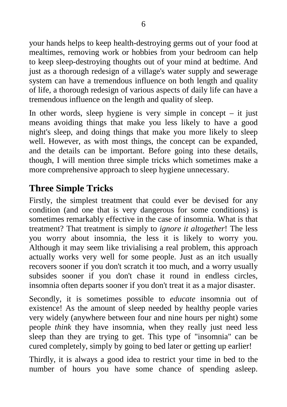your hands helps to keep health-destroying germs out of your food at mealtimes, removing work or hobbies from your bedroom can help to keep sleep-destroying thoughts out of your mind at bedtime. And just as a thorough redesign of a village's water supply and sewerage system can have a tremendous influence on both length and quality of life, a thorough redesign of various aspects of daily life can have a tremendous influence on the length and quality of sleep.

In other words, sleep hygiene is very simple in concept  $-$  it just means avoiding things that make you less likely to have a good night's sleep, and doing things that make you more likely to sleep well. However, as with most things, the concept can be expanded, and the details can be important. Before going into these details, though, I will mention three simple tricks which sometimes make a more comprehensive approach to sleep hygiene unnecessary.

### **Three Simple Tricks**

Firstly, the simplest treatment that could ever be devised for any condition (and one that is very dangerous for some conditions) is sometimes remarkably effective in the case of insomnia. What is that treatment? That treatment is simply to *ignore it altogether* ! The less you worry about insomnia, the less it is likely to worry you. Although it may seem like trivialising a real problem, this approach actually works very well for some people. Just as an itch usually recovers sooner if you don't scratch it too much, and a worry usually subsides sooner if you don't chase it round in endless circles, insomnia often departs sooner if you don't treat it as a major disaster.

Secondly, it is sometimes possible to *educate* insomnia out of existence! As the amount of sleep needed by healthy people varies very widely (anywhere between four and nine hours per night) some people *think* they have insomnia, when they really just need less sleep than they are trying to get. This type of "insomnia" can be cured completely, simply by going to bed later or getting up earlier!

Thirdly, it is always a good idea to restrict your time in bed to the number of hours you have some chance of spending asleep.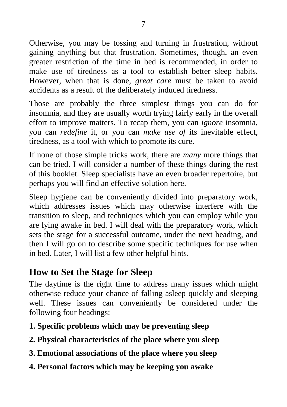Otherwise, you may be tossing and turning in frustration, without gaining anything but that frustration. Sometimes, though, an even greater restriction of the time in bed is recommended, in order to make use of tiredness as a tool to establish better sleep habits. However, when that is done, *great care* must be taken to avoid accidents as a result of the deliberately induced tiredness.

Those are probably the three simplest things you can do for insomnia, and they are usually worth trying fairly early in the overall effort to improve matters. To recap them, you can *ignore* insomnia, you can *redefine* it, or you can *make use of* its inevitable effect, tiredness, as a tool with which to promote its cure.

If none of those simple tricks work, there are *many* more things that can be tried. I will consider a number of these things during the rest of this booklet. Sleep specialists have an even broader repertoire, but perhaps you will find an effective solution here.

Sleep hygiene can be conveniently divided into preparatory work, which addresses issues which may otherwise interfere with the transition to sleep, and techniques which you can employ while you are lying awake in bed. I will deal with the preparatory work, which sets the stage for a successful outcome, under the next heading, and then I will go on to describe some specific techniques for use when in bed. Later, I will list a few other helpful hints.

### **How to Set the Stage for Sleep**

The daytime is the right time to address many issues which might otherwise reduce your chance of falling asleep quickly and sleeping well. These issues can conveniently be considered under the following four headings:

- **1. Specific problems which may be preventing sleep**
- **2. Physical characteristics of the place where you sleep**
- **3. Emotional associations of the place where you sleep**
- **4. Personal factors which may be keeping you awake**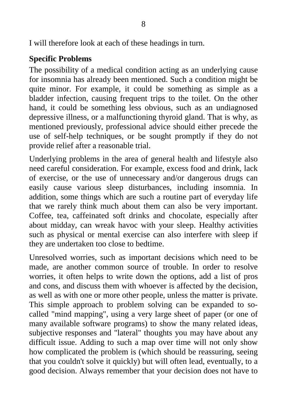I will therefore look at each of these headings in turn.

#### **Specific Problems**

The possibility of a medical condition acting as an underlying cause for insomnia has already been mentioned. Such a condition might be quite minor. For example, it could be something as simple as a bladder infection, causing frequent trips to the toilet. On the other hand, it could be something less obvious, such as an undiagnosed depressive illness, or a malfunctioning thyroid gland. That is why, as mentioned previously, professional advice should either precede the use of self-help techniques, or be sought promptly if they do not provide relief after a reasonable trial.

Underlying problems in the area of general health and lifestyle also need careful consideration. For example, excess food and drink, lack of exercise, or the use of unnecessary and/or dangerous drugs can easily cause various sleep disturbances, including insomnia. In addition, some things which are such a routine part of everyday life that we rarely think much about them can also be very important. Coffee, tea, caffeinated soft drinks and chocolate, especially after about midday, can wreak havoc with your sleep. Healthy activities such as physical or mental exercise can also interfere with sleep if they are undertaken too close to bedtime.

Unresolved worries, such as important decisions which need to be made, are another common source of trouble. In order to resolve worries, it often helps to write down the options, add a list of pros and cons, and discuss them with whoever is affected by the decision, as well as with one or more other people, unless the matter is private. This simple approach to problem solving can be expanded to socalled "mind mapping", using a very large sheet of paper (or one of many available software programs) to show the many related ideas, subjective responses and "lateral" thoughts you may have about any difficult issue. Adding to such a map over time will not only show how complicated the problem is (which should be reassuring, seeing that you couldn't solve it quickly) but will often lead, eventually, to a good decision. Always remember that your decision does not have to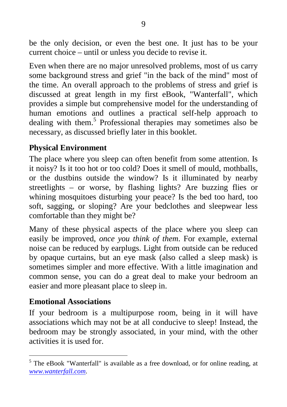be the only decision, or even the best one. It just has to be your current choice – until or unless you decide to revise it.

Even when there are no major unresolved problems, most of us carry some background stress and grief "in the back of the mind" most of the time. An overall approach to the problems of stress and grief is discussed at great length in my first eBook, "Wanterfall", which provides a simple but comprehensive model for the understanding of human emotions and outlines a practical self-help approach to dealing with them.<sup>5</sup> Professional therapies may sometimes also be necessary, as discussed briefly later in this booklet.

#### **Physical Environment**

The place where you sleep can often benefit from some attention. Is it noisy? Is it too hot or too cold? Does it smell of mould, mothballs, or the dustbins outside the window? Is it illuminated by nearby streetlights – or worse, by flashing lights? Are buzzing flies or whining mosquitoes disturbing your peace? Is the bed too hard, too soft, sagging, or sloping? Are your bedclothes and sleepwear less comfortable than they might be?

Many of these physical aspects of the place where you sleep can easily be improved, *once you think of them* . For example, external noise can be reduced by earplugs. Light from outside can be reduced by opaque curtains, but an eye mask (also called a sleep mask) is sometimes simpler and more effective. With a little imagination and common sense, you can do a great deal to make your bedroom an easier and more pleasant place to sleep in.

#### **Emotional Associations**

If your bedroom is a multipurpose room, being in it will have associations which may not be at all conducive to sleep! Instead, the bedroom may be strongly associated, in your mind, with the other activities it is used for.

 <sup>5</sup> The eBook "Wanterfall" is available as a free download, or for online reading, at *[www.wanterfall.com](http://www.wanterfall.com/)*.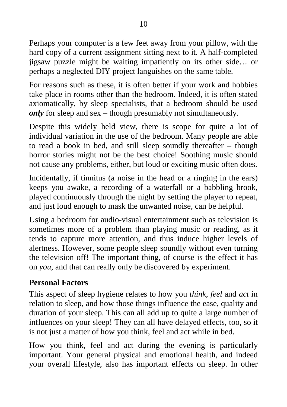Perhaps your computer is a few feet away from your pillow, with the hard copy of a current assignment sitting next to it. A half-completed jigsaw puzzle might be waiting impatiently on its other side… or perhaps a neglected DIY project languishes on the same table.

For reasons such as these, it is often better if your work and hobbies take place in rooms other than the bedroom. Indeed, it is often stated axiomatically, by sleep specialists, that a bedroom should be used *only* for sleep and sex – though presumably not simultaneously.

Despite this widely held view, there is scope for quite a lot of individual variation in the use of the bedroom. Many people are able to read a book in bed, and still sleep soundly thereafter – though horror stories might not be the best choice! Soothing music should not cause any problems, either, but loud or exciting music often does.

Incidentally, if tinnitus (a noise in the head or a ringing in the ears) keeps you awake, a recording of a waterfall or a babbling brook, played continuously through the night by setting the player to repeat, and just loud enough to mask the unwanted noise, can be helpful.

Using a bedroom for audio-visual entertainment such as television is sometimes more of a problem than playing music or reading, as it tends to capture more attention, and thus induce higher levels of alertness. However, some people sleep soundly without even turning the television off! The important thing, of course is the effect it has on *you*, and that can really only be discovered by experiment.

#### **Personal Factors**

This aspect of sleep hygiene relates to how you *think*, *feel* and *act* in relation to sleep, and how those things influence the ease, quality and duration of your sleep. This can all add up to quite a large number of influences on your sleep! They can all have delayed effects, too, so it is not just a matter of how you think, feel and act while in bed.

How you think, feel and act during the evening is particularly important. Your general physical and emotional health, and indeed your overall lifestyle, also has important effects on sleep. In other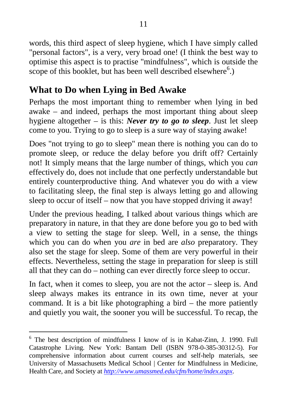words, this third aspect of sleep hygiene, which I have simply called "personal factors", is a very, very broad one! (I think the best way to optimise this aspect is to practise "mindfulness", which is outside the scope of this booklet, but has been well described elsewhere<sup>6</sup>.)

### **What to Do when Lying in Bed Awake**

Perhaps the most important thing to remember when lying in bed awake – and indeed, perhaps the most important thing about sleep hygiene altogether – is this: *Never try to go to sleep* . Just let sleep come to you. Trying to go to sleep is a sure way of staying awake!

Does "not trying to go to sleep" mean there is nothing you can do to promote sleep, or reduce the delay before you drift off? Certainly not! It simply means that the large number of things, which you *can* effectively do, does not include that one perfectly understandable but entirely counterproductive thing. And whatever you do with a view to facilitating sleep, the final step is always letting go and allowing sleep to occur of itself – now that you have stopped driving it away!

Under the previous heading, I talked about various things which are preparatory in nature, in that they are done before you go to bed with a view to setting the stage for sleep. Well, in a sense, the things which you can do when you *are* in bed are *also* preparatory. They also set the stage for sleep. Some of them are very powerful in their effects. Nevertheless, setting the stage in preparation for sleep is still all that they can do – nothing can ever directly force sleep to occur.

In fact, when it comes to sleep, you are not the actor – sleep is. And sleep always makes its entrance in its own time, never at your command. It is a bit like photographing a bird – the more patiently and quietly you wait, the sooner you will be successful. To recap, the

 <sup>6</sup> The best description of mindfulness I know of is in Kabat-Zinn, J. 1990. Full Catastrophe Living. New York: Bantam Dell (ISBN 978-0-385-30312-5). For comprehensive information about current courses and self-help materials, see University of Massachusetts Medical School | Center for Mindfulness in Medicine, Health Care, and Society at *<http://www.umassmed.edu/cfm/home/index.aspx>*.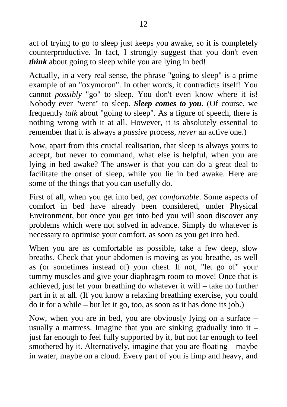act of trying to go to sleep just keeps you awake, so it is completely counterproductive. In fact, I strongly suggest that you don't even *think* about going to sleep while you are lying in bed!

Actually, in a very real sense, the phrase "going to sleep" is a prime example of an "oxymoron". In other words, it contradicts itself! You cannot *possibly* "go" to sleep. You don't even know where it is! Nobody ever "went" to sleep. *Sleep comes to you*. (Of course, we frequently *talk* about "going to sleep". As a figure of speech, there is nothing wrong with it at all. However, it is absolutely essential to remember that it is always a *passive* process, *never* an active one.)

Now, apart from this crucial realisation, that sleep is always yours to accept, but never to command, what else is helpful, when you are lying in bed awake? The answer is that you can do a great deal to facilitate the onset of sleep, while you lie in bed awake. Here are some of the things that you can usefully do.

First of all, when you get into bed, *get comfortable* . Some aspects of comfort in bed have already been considered, under Physical Environment, but once you get into bed you will soon discover any problems which were not solved in advance. Simply do whatever is necessary to optimise your comfort, as soon as you get into bed.

When you are as comfortable as possible, take a few deep, slow breaths. Check that your abdomen is moving as you breathe, as well as (or sometimes instead of) your chest. If not, "let go of" your tummy muscles and give your diaphragm room to move! Once that is achieved, just let your breathing do whatever it will – take no further part in it at all. (If you know a relaxing breathing exercise, you could do it for a while – but let it go, too, as soon as it has done its job.)

Now, when you are in bed, you are obviously lying on a surface – usually a mattress. Imagine that you are sinking gradually into it – just far enough to feel fully supported by it, but not far enough to feel smothered by it. Alternatively, imagine that you are floating – maybe in water, maybe on a cloud. Every part of you is limp and heavy, and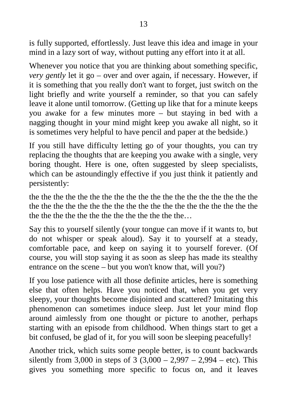is fully supported, effortlessly. Just leave this idea and image in your mind in a lazy sort of way, without putting any effort into it at all.

Whenever you notice that you are thinking about something specific, *very gently* let it go – over and over again, if necessary. However, if it is something that you really don't want to forget, just switch on the light briefly and write yourself a reminder, so that you can safely leave it alone until tomorrow. (Getting up like that for a minute keeps you awake for a few minutes more – but staying in bed with a nagging thought in your mind might keep you awake all night, so it is sometimes very helpful to have pencil and paper at the bedside.)

If you still have difficulty letting go of your thoughts, you can try replacing the thoughts that are keeping you awake with a single, very boring thought. Here is one, often suggested by sleep specialists, which can be astoundingly effective if you just think it patiently and persistently:

the the the the the the the the the the the the the the the the the the the the the the the the the the the the the the the the the the the the the the the the the the the the the the the the the the the…

Say this to yourself silently (your tongue can move if it wants to, but do not whisper or speak aloud). Say it to yourself at a steady, comfortable pace, and keep on saying it to yourself forever. (Of course, you will stop saying it as soon as sleep has made its stealthy entrance on the scene – but you won't know that, will you?)

If you lose patience with all those definite articles, here is something else that often helps. Have you noticed that, when you get very sleepy, your thoughts become disjointed and scattered? Imitating this phenomenon can sometimes induce sleep. Just let your mind flop around aimlessly from one thought or picture to another, perhaps starting with an episode from childhood. When things start to get a bit confused, be glad of it, for you will soon be sleeping peacefully!

Another trick, which suits some people better, is to count backwards silently from 3,000 in steps of 3  $(3,000 - 2,997 - 2,994 - etc)$ . This gives you something more specific to focus on, and it leaves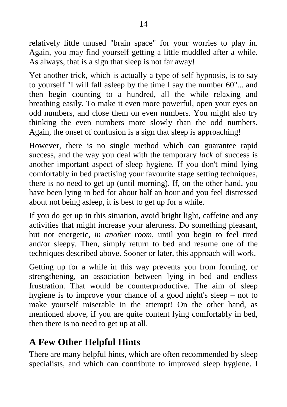relatively little unused "brain space" for your worries to play in. Again, you may find yourself getting a little muddled after a while. As always, that is a sign that sleep is not far away!

Yet another trick, which is actually a type of self hypnosis, is to say to yourself "I will fall asleep by the time I say the number 60"... and then begin counting to a hundred, all the while relaxing and breathing easily. To make it even more powerful, open your eyes on odd numbers, and close them on even numbers. You might also try thinking the even numbers more slowly than the odd numbers. Again, the onset of confusion is a sign that sleep is approaching!

However, there is no single method which can guarantee rapid success, and the way you deal with the temporary *lack* of success is another important aspect of sleep hygiene. If you don't mind lying comfortably in bed practising your favourite stage setting techniques, there is no need to get up (until morning). If, on the other hand, you have been lying in bed for about half an hour and you feel distressed about not being asleep, it is best to get up for a while.

If you do get up in this situation, avoid bright light, caffeine and any activities that might increase your alertness. Do something pleasant, but not energetic, *in another room* , until you begin to feel tired and/or sleepy. Then, simply return to bed and resume one of the techniques described above. Sooner or later, this approach will work.

Getting up for a while in this way prevents you from forming, or strengthening, an association between lying in bed and endless frustration. That would be counterproductive. The aim of sleep hygiene is to improve your chance of a good night's sleep – not to make yourself miserable in the attempt! On the other hand, as mentioned above, if you are quite content lying comfortably in bed, then there is no need to get up at all.

### **A Few Other Helpful Hints**

There are many helpful hints, which are often recommended by sleep specialists, and which can contribute to improved sleep hygiene. I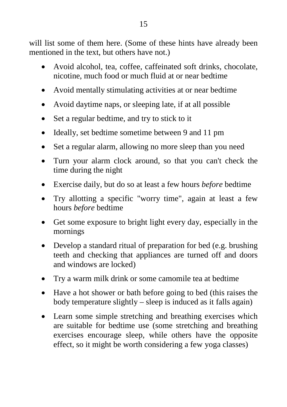will list some of them here. (Some of these hints have already been mentioned in the text, but others have not.)

- Avoid alcohol, tea, coffee, caffeinated soft drinks, chocolate, nicotine, much food or much fluid at or near bedtime
- Avoid mentally stimulating activities at or near bedtime
- Avoid daytime naps, or sleeping late, if at all possible
- Set a regular bedtime, and try to stick to it
- Ideally, set bedtime sometime between 9 and 11 pm
- Set a regular alarm, allowing no more sleep than you need
- Turn your alarm clock around, so that you can't check the time during the night
- Exercise daily, but do so at least a few hours *before* bedtime
- Try allotting a specific "worry time", again at least a few hours *before* bedtime
- Get some exposure to bright light every day, especially in the mornings
- Develop a standard ritual of preparation for bed (e.g. brushing teeth and checking that appliances are turned off and doors and windows are locked)
- Try a warm milk drink or some camomile tea at bedtime
- Have a hot shower or bath before going to bed (this raises the body temperature slightly – sleep is induced as it falls again)
- Learn some simple stretching and breathing exercises which are suitable for bedtime use (some stretching and breathing exercises encourage sleep, while others have the opposite effect, so it might be worth considering a few yoga classes)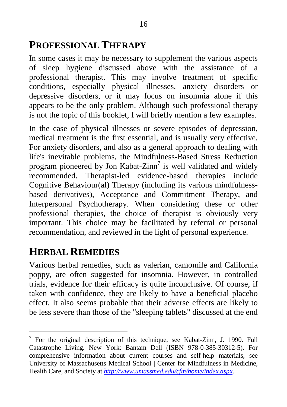# **PROFESSIONAL THERAPY**

In some cases it may be necessary to supplement the various aspects of sleep hygiene discussed above with the assistance of a professional therapist. This may involve treatment of specific conditions, especially physical illnesses, anxiety disorders or depressive disorders, or it may focus on insomnia alone if this appears to be the only problem. Although such professional therapy is not the topic of this booklet, I will briefly mention a few examples.

In the case of physical illnesses or severe episodes of depression, medical treatment is the first essential, and is usually very effective. For anxiety disorders, and also as a general approach to dealing with life's inevitable problems, the Mindfulness-Based Stress Reduction program pioneered by Jon Kabat-Zinn<sup>7</sup> is well validated and widely recommended. Therapist-led evidence-based therapies include Cognitive Behaviour(al) Therapy (including its various mindfulnessbased derivatives), Acceptance and Commitment Therapy, and Interpersonal Psychotherapy. When considering these or other professional therapies, the choice of therapist is obviously very important. This choice may be facilitated by referral or personal recommendation, and reviewed in the light of personal experience.

# **HERBAL REMEDIES**

Various herbal remedies, such as valerian, camomile and California poppy, are often suggested for insomnia. However, in controlled trials, evidence for their efficacy is quite inconclusive. Of course, if taken with confidence, they are likely to have a beneficial placebo effect. It also seems probable that their adverse effects are likely to be less severe than those of the "sleeping tablets" discussed at the end

 $7$  For the original description of this technique, see Kabat-Zinn, J. 1990. Full Catastrophe Living. New York: Bantam Dell (ISBN 978-0-385-30312-5). For comprehensive information about current courses and self-help materials, see University of Massachusetts Medical School | Center for Mindfulness in Medicine, Health Care, and Society at *<http://www.umassmed.edu/cfm/home/index.aspx>*.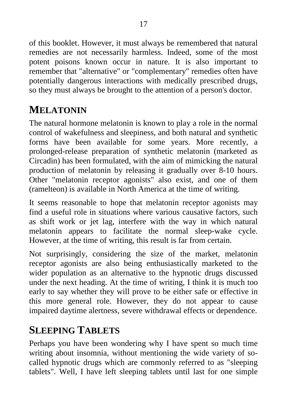of this booklet. However, it must always be remembered that natural remedies are not necessarily harmless. Indeed, some of the most potent poisons known occur in nature. It is also important to remember that "alternative" or "complementary" remedies often have potentially dangerous interactions with medically prescribed drugs, so they must always be brought to the attention of a person's doctor.

# **MELATONIN**

The natural hormone melatonin is known to play a role in the normal control of wakefulness and sleepiness, and both natural and synthetic forms have been available for some years. More recently, a prolonged-release preparation of synthetic melatonin (marketed as Circadin) has been formulated, with the aim of mimicking the natural production of melatonin by releasing it gradually over 8-10 hours. Other "melatonin receptor agonists" also exist, and one of them (ramelteon) is available in North America at the time of writing.

It seems reasonable to hope that melatonin receptor agonists may find a useful role in situations where various causative factors, such as shift work or jet lag, interfere with the way in which natural melatonin appears to facilitate the normal sleep-wake cycle. However, at the time of writing, this result is far from certain.

Not surprisingly, considering the size of the market, melatonin receptor agonists are also being enthusiastically marketed to the wider population as an alternative to the hypnotic drugs discussed under the next heading. At the time of writing, I think it is much too early to say whether they will prove to be either safe or effective in this more general role. However, they do not appear to cause impaired daytime alertness, severe withdrawal effects or dependence.

# **SLEEPING TABLETS**

Perhaps you have been wondering why I have spent so much time writing about insomnia, without mentioning the wide variety of socalled hypnotic drugs which are commonly referred to as "sleeping tablets". Well, I have left sleeping tablets until last for one simple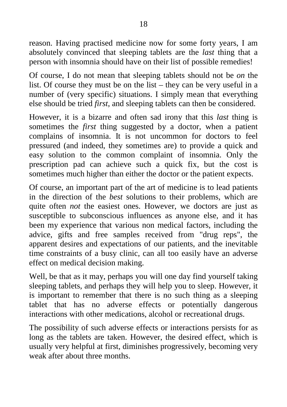reason. Having practised medicine now for some forty years, I am absolutely convinced that sleeping tablets are the *last* thing that a person with insomnia should have on their list of possible remedies!

Of course, I do not mean that sleeping tablets should not be *on* the list. Of course they must be on the list – they can be very useful in a number of (very specific) situations. I simply mean that everything else should be tried *first* , and sleeping tablets can then be considered.

However, it is a bizarre and often sad irony that this *last* thing is sometimes the *first* thing suggested by a doctor, when a patient complains of insomnia. It is not uncommon for doctors to feel pressured (and indeed, they sometimes are) to provide a quick and easy solution to the common complaint of insomnia. Only the prescription pad can achieve such a quick fix, but the cost is sometimes much higher than either the doctor or the patient expects.

Of course, an important part of the art of medicine is to lead patients in the direction of the *best* solutions to their problems, which are quite often *not* the easiest ones. However, we doctors are just as susceptible to subconscious influences as anyone else, and it has been my experience that various non medical factors, including the advice, gifts and free samples received from "drug reps", the apparent desires and expectations of our patients, and the inevitable time constraints of a busy clinic, can all too easily have an adverse effect on medical decision making.

Well, be that as it may, perhaps you will one day find yourself taking sleeping tablets, and perhaps they will help you to sleep. However, it is important to remember that there is no such thing as a sleeping tablet that has no adverse effects or potentially dangerous interactions with other medications, alcohol or recreational drugs.

The possibility of such adverse effects or interactions persists for as long as the tablets are taken. However, the desired effect, which is usually very helpful at first, diminishes progressively, becoming very weak after about three months.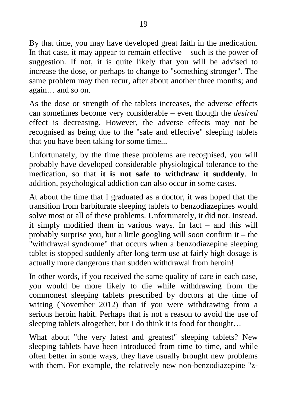By that time, you may have developed great faith in the medication. In that case, it may appear to remain effective – such is the power of suggestion. If not, it is quite likely that you will be advised to increase the dose, or perhaps to change to "something stronger". The same problem may then recur, after about another three months; and again… and so on.

As the dose or strength of the tablets increases, the adverse effects can sometimes become very considerable – even though the *desired* effect is decreasing. However, the adverse effects may not be recognised as being due to the "safe and effective" sleeping tablets that you have been taking for some time...

Unfortunately, by the time these problems are recognised, you will probably have developed considerable physiological tolerance to the medication, so that **it is not safe to withdraw it suddenly** . In addition, psychological addiction can also occur in some cases.

At about the time that I graduated as a doctor, it was hoped that the transition from barbiturate sleeping tablets to benzodiazepines would solve most or all of these problems. Unfortunately, it did not. Instead, it simply modified them in various ways. In fact – and this will probably surprise you, but a little googling will soon confirm it – the "withdrawal syndrome" that occurs when a benzodiazepine sleeping tablet is stopped suddenly after long term use at fairly high dosage is actually more dangerous than sudden withdrawal from heroin!

In other words, if you received the same quality of care in each case, you would be more likely to die while withdrawing from the commonest sleeping tablets prescribed by doctors at the time of writing (November 2012) than if you were withdrawing from a serious heroin habit. Perhaps that is not a reason to avoid the use of sleeping tablets altogether, but I do think it is food for thought…

What about "the very latest and greatest" sleeping tablets? New sleeping tablets have been introduced from time to time, and while often better in some ways, they have usually brought new problems with them. For example, the relatively new non-benzodiazepine "z